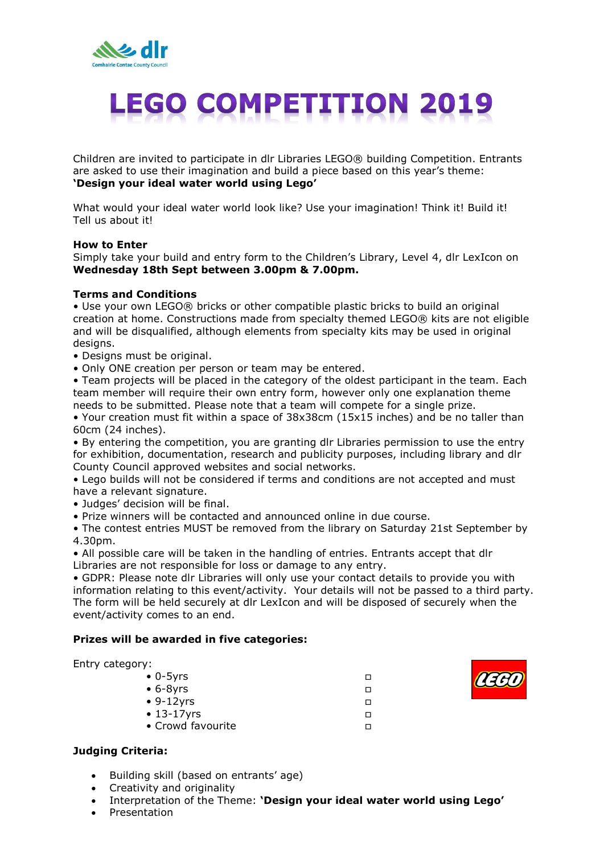

# **LEGO COMPETITION 2019**

Children are invited to participate in dlr Libraries LEGO® building Competition. Entrants are asked to use their imagination and build a piece based on this year's theme: **'Design your ideal water world using Lego'**

What would your ideal water world look like? Use your imagination! Think it! Build it! Tell us about it!

#### **How to Enter**

Simply take your build and entry form to the Children's Library, Level 4, dlr LexIcon on **Wednesday 18th Sept between 3.00pm & 7.00pm.**

#### **Terms and Conditions**

• Use your own LEGO® bricks or other compatible plastic bricks to build an original creation at home. Constructions made from specialty themed LEGO® kits are not eligible and will be disqualified, although elements from specialty kits may be used in original designs.

- Designs must be original.
- Only ONE creation per person or team may be entered.

• Team projects will be placed in the category of the oldest participant in the team. Each team member will require their own entry form, however only one explanation theme needs to be submitted. Please note that a team will compete for a single prize.

• Your creation must fit within a space of 38x38cm (15x15 inches) and be no taller than 60cm (24 inches).

• By entering the competition, you are granting dlr Libraries permission to use the entry for exhibition, documentation, research and publicity purposes, including library and dlr County Council approved websites and social networks.

• Lego builds will not be considered if terms and conditions are not accepted and must have a relevant signature.

- Judges' decision will be final.
- Prize winners will be contacted and announced online in due course.

• The contest entries MUST be removed from the library on Saturday 21st September by 4.30pm.

• All possible care will be taken in the handling of entries. Entrants accept that dlr Libraries are not responsible for loss or damage to any entry.

• GDPR: Please note dlr Libraries will only use your contact details to provide you with information relating to this event/activity. Your details will not be passed to a third party. The form will be held securely at dlr LexIcon and will be disposed of securely when the event/activity comes to an end.

#### **Prizes will be awarded in five categories:**

| Entry category:   |   |
|-------------------|---|
| $\bullet$ 0-5yrs  |   |
| $\bullet$ 6-8yrs  | п |
| $\cdot$ 9-12yrs   | п |
| $\cdot$ 13-17yrs  | п |
| • Crowd favourite |   |
|                   |   |



#### **Judging Criteria:**

- Building skill (based on entrants' age)
- Creativity and originality
- Interpretation of the Theme: **'Design your ideal water world using Lego'**
- Presentation